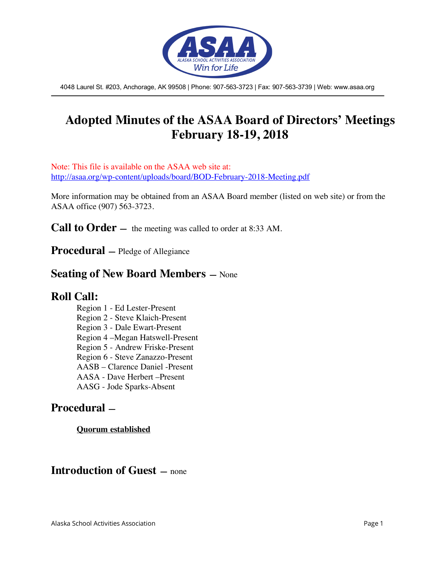

4048 Laurel St. #203, Anchorage, AK 99508 | Phone: 907-563-3723 | Fax: 907-563-3739 | Web: www.asaa.org

# **Adopted Minutes of the ASAA Board of Directors' Meetings February 18-19, 2018**

Note: This file is available on the ASAA web site at: http://asaa.org/wp-content/uploads/board/BOD-February-2018-Meeting.pdf

More information may be obtained from an ASAA Board member (listed on web site) or from the ASAA office (907) 563-3723.

**Call to Order** — the meeting was called to order at 8:33 AM.

**Procedural —** Pledge of Allegiance

### **Seating of New Board Members —** None

### **Roll Call:**

Region 1 - Ed Lester-Present Region 2 - Steve Klaich-Present Region 3 - Dale Ewart-Present Region 4 –Megan Hatswell-Present Region 5 - Andrew Friske-Present Region 6 - Steve Zanazzo-Present AASB – Clarence Daniel -Present AASA - Dave Herbert –Present AASG - Jode Sparks-Absent

### **Procedural —**

#### **Quorum established**

### **Introduction of Guest —** none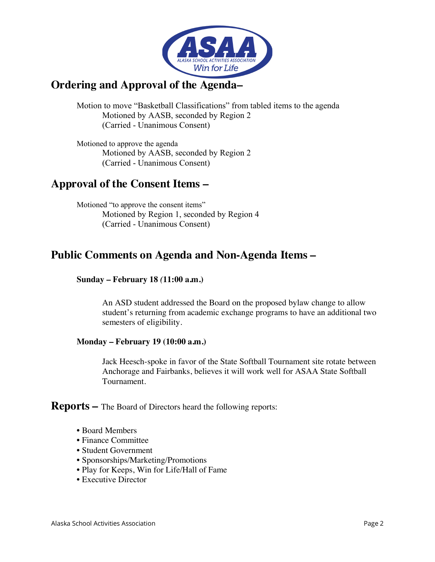

### **Ordering and Approval of the Agenda–**

Motion to move "Basketball Classifications" from tabled items to the agenda Motioned by AASB, seconded by Region 2 (Carried - Unanimous Consent)

Motioned to approve the agenda Motioned by AASB, seconded by Region 2 (Carried - Unanimous Consent)

## **Approval of the Consent Items –**

Motioned "to approve the consent items" Motioned by Region 1, seconded by Region 4 (Carried - Unanimous Consent)

## **Public Comments on Agenda and Non-Agenda Items –**

#### **Sunday – February 18** *(***11:00 a.m.)**

An ASD student addressed the Board on the proposed bylaw change to allow student's returning from academic exchange programs to have an additional two semesters of eligibility.

#### **Monday – February 19 (10:00 a.m.)**

Jack Heesch-spoke in favor of the State Softball Tournament site rotate between Anchorage and Fairbanks, believes it will work well for ASAA State Softball Tournament.

**Reports –** The Board of Directors heard the following reports:

- Board Members
- Finance Committee
- Student Government
- Sponsorships/Marketing/Promotions
- Play for Keeps, Win for Life/Hall of Fame
- Executive Director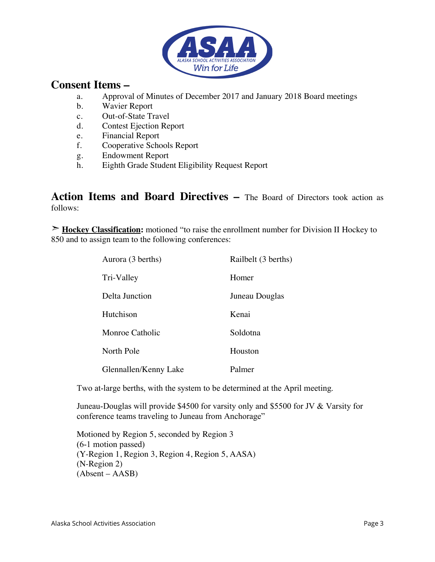

### **Consent Items –**

- a. Approval of Minutes of December 2017 and January 2018 Board meetings
- b. Wavier Report
- c. Out-of-State Travel
- d. Contest Ejection Report
- e. Financial Report
- f. Cooperative Schools Report
- g. Endowment Report
- h. Eighth Grade Student Eligibility Request Report

**Action Items and Board Directives –** The Board of Directors took action as follows:

➣ **Hockey Classification:** motioned "to raise the enrollment number for Division II Hockey to 850 and to assign team to the following conferences:

| Aurora (3 berths)     | Railbelt (3 berths) |
|-----------------------|---------------------|
| Tri-Valley            | Homer               |
| Delta Junction        | Juneau Douglas      |
| Hutchison             | Kenai               |
| Monroe Catholic       | Soldotna            |
| North Pole            | Houston             |
| Glennallen/Kenny Lake | Palmer              |

Two at-large berths, with the system to be determined at the April meeting.

Juneau-Douglas will provide \$4500 for varsity only and \$5500 for JV & Varsity for conference teams traveling to Juneau from Anchorage"

Motioned by Region 5, seconded by Region 3 (6-1 motion passed) (Y-Region 1, Region 3, Region 4, Region 5, AASA) (N-Region 2) (Absent – AASB)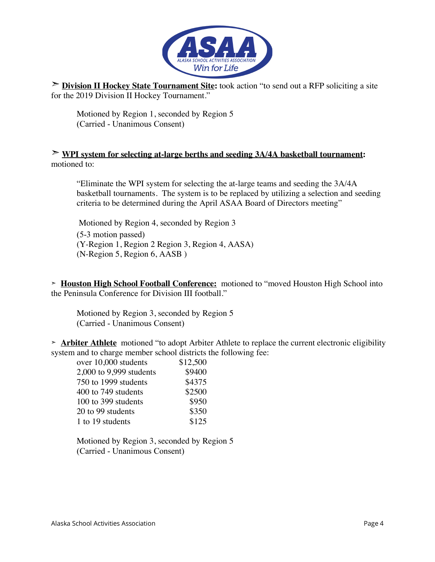

➣ **Division II Hockey State Tournament Site:** took action "to send out a RFP soliciting a site for the 2019 Division II Hockey Tournament."

Motioned by Region 1, seconded by Region 5 (Carried - Unanimous Consent)

#### ➣ **WPI system for selecting at-large berths and seeding 3A/4A basketball tournament:** motioned to:

"Eliminate the WPI system for selecting the at-large teams and seeding the 3A/4A basketball tournaments. The system is to be replaced by utilizing a selection and seeding criteria to be determined during the April ASAA Board of Directors meeting"

Motioned by Region 4, seconded by Region 3 (5-3 motion passed) (Y-Region 1, Region 2 Region 3, Region 4, AASA) (N-Region 5, Region 6, AASB )

**➣ Houston High School Football Conference:** motioned to "moved Houston High School into the Peninsula Conference for Division III football."

Motioned by Region 3, seconded by Region 5 (Carried - Unanimous Consent)

**➣ Arbiter Athlete** motioned "to adopt Arbiter Athlete to replace the current electronic eligibility system and to charge member school districts the following fee:

| over 10,000 students    | \$12,500 |
|-------------------------|----------|
| 2,000 to 9,999 students | \$9400   |
| 750 to 1999 students    | \$4375   |
| 400 to 749 students     | \$2500   |
| 100 to 399 students     | \$950    |
| 20 to 99 students       | \$350    |
| 1 to 19 students        | \$125    |

Motioned by Region 3, seconded by Region 5 (Carried - Unanimous Consent)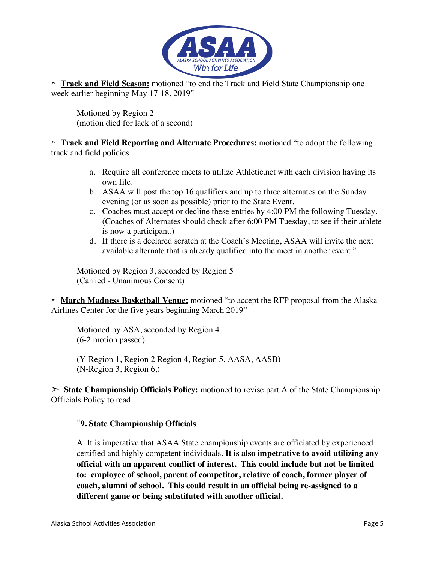

**➣ Track and Field Season:** motioned "to end the Track and Field State Championship one week earlier beginning May 17-18, 2019"

Motioned by Region 2 (motion died for lack of a second)

**➣ Track and Field Reporting and Alternate Procedures:** motioned "to adopt the following track and field policies

- a. Require all conference meets to utilize Athletic.net with each division having its own file.
- b. ASAA will post the top 16 qualifiers and up to three alternates on the Sunday evening (or as soon as possible) prior to the State Event.
- c. Coaches must accept or decline these entries by 4:00 PM the following Tuesday. (Coaches of Alternates should check after 6:00 PM Tuesday, to see if their athlete is now a participant.)
- d. If there is a declared scratch at the Coach's Meeting, ASAA will invite the next available alternate that is already qualified into the meet in another event."

Motioned by Region 3, seconded by Region 5 (Carried - Unanimous Consent)

**➣ March Madness Basketball Venue:** motioned "to accept the RFP proposal from the Alaska Airlines Center for the five years beginning March 2019"

Motioned by ASA, seconded by Region 4 (6-2 motion passed)

(Y-Region 1, Region 2 Region 4, Region 5, AASA, AASB) (N-Region 3, Region 6,)

➣ **State Championship Officials Policy:** motioned to revise part A of the State Championship Officials Policy to read.

#### "**9. State Championship Officials**

A. It is imperative that ASAA State championship events are officiated by experienced certified and highly competent individuals. **It is also impetrative to avoid utilizing any official with an apparent conflict of interest. This could include but not be limited to: employee of school, parent of competitor, relative of coach, former player of coach, alumni of school. This could result in an official being re-assigned to a different game or being substituted with another official.**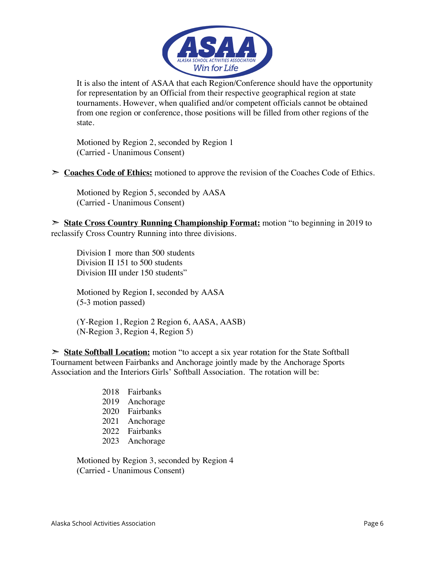

It is also the intent of ASAA that each Region/Conference should have the opportunity for representation by an Official from their respective geographical region at state tournaments. However, when qualified and/or competent officials cannot be obtained from one region or conference, those positions will be filled from other regions of the state.

Motioned by Region 2, seconded by Region 1 (Carried - Unanimous Consent)

➣ **Coaches Code of Ethics:** motioned to approve the revision of the Coaches Code of Ethics.

Motioned by Region 5, seconded by AASA (Carried - Unanimous Consent)

➣ **State Cross Country Running Championship Format:** motion "to beginning in 2019 to reclassify Cross Country Running into three divisions.

Division I more than 500 students Division II 151 to 500 students Division III under 150 students"

Motioned by Region I, seconded by AASA (5-3 motion passed)

(Y-Region 1, Region 2 Region 6, AASA, AASB) (N-Region 3, Region 4, Region 5)

➣ **State Softball Location:** motion "to accept a six year rotation for the State Softball Tournament between Fairbanks and Anchorage jointly made by the Anchorage Sports Association and the Interiors Girls' Softball Association. The rotation will be:

- 2018 Fairbanks
- 2019 Anchorage
- 2020 Fairbanks
- 2021 Anchorage
- 2022 Fairbanks
- 2023 Anchorage

Motioned by Region 3, seconded by Region 4 (Carried - Unanimous Consent)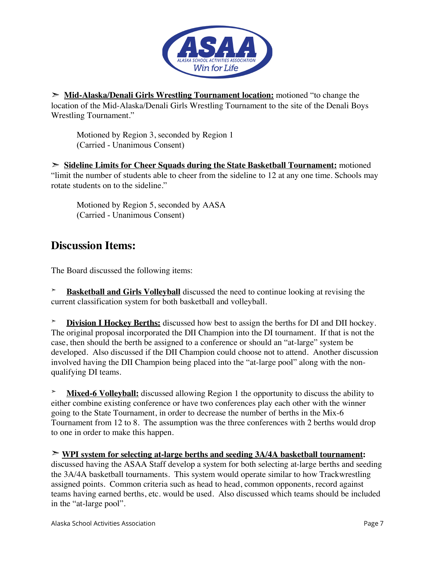

➣ **Mid-Alaska/Denali Girls Wrestling Tournament location:** motioned "to change the location of the Mid-Alaska/Denali Girls Wrestling Tournament to the site of the Denali Boys Wrestling Tournament."

Motioned by Region 3, seconded by Region 1 (Carried - Unanimous Consent)

➣ **Sideline Limits for Cheer Squads during the State Basketball Tournament:** motioned "limit the number of students able to cheer from the sideline to 12 at any one time. Schools may rotate students on to the sideline."

Motioned by Region 5, seconded by AASA (Carried - Unanimous Consent)

## **Discussion Items:**

The Board discussed the following items:

**➣ Basketball and Girls Volleyball** discussed the need to continue looking at revising the current classification system for both basketball and volleyball.

**Division I Hockey Berths:** discussed how best to assign the berths for DI and DII hockey. The original proposal incorporated the DII Champion into the DI tournament. If that is not the case, then should the berth be assigned to a conference or should an "at-large" system be developed. Also discussed if the DII Champion could choose not to attend. Another discussion involved having the DII Champion being placed into the "at-large pool" along with the nonqualifying DI teams.

**Mixed-6 Volleyball:** discussed allowing Region 1 the opportunity to discuss the ability to either combine existing conference or have two conferences play each other with the winner going to the State Tournament, in order to decrease the number of berths in the Mix-6 Tournament from 12 to 8. The assumption was the three conferences with 2 berths would drop to one in order to make this happen.

➣ **WPI system for selecting at-large berths and seeding 3A/4A basketball tournament:**  discussed having the ASAA Staff develop a system for both selecting at-large berths and seeding the 3A/4A basketball tournaments. This system would operate similar to how Trackwrestling assigned points. Common criteria such as head to head, common opponents, record against teams having earned berths, etc. would be used. Also discussed which teams should be included in the "at-large pool".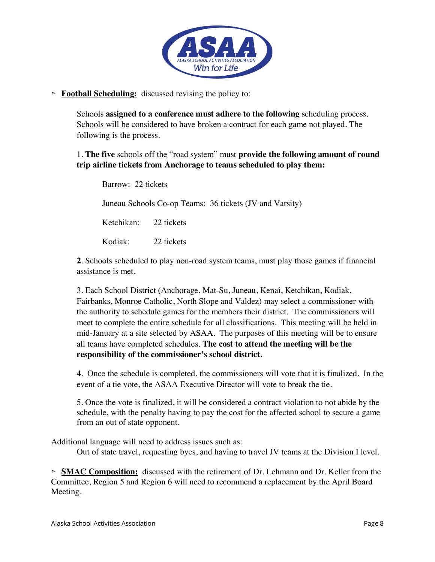

#### **➣ Football Scheduling:** discussed revising the policy to:

Schools **assigned to a conference must adhere to the following** scheduling process. Schools will be considered to have broken a contract for each game not played. The following is the process.

1. **The five** schools off the "road system" must **provide the following amount of round trip airline tickets from Anchorage to teams scheduled to play them:**

Barrow: 22 tickets Juneau Schools Co-op Teams: 36 tickets (JV and Varsity) Ketchikan: 22 tickets Kodiak: 22 tickets

**2**. Schools scheduled to play non-road system teams, must play those games if financial assistance is met.

3. Each School District (Anchorage, Mat-Su, Juneau, Kenai, Ketchikan, Kodiak, Fairbanks, Monroe Catholic, North Slope and Valdez) may select a commissioner with the authority to schedule games for the members their district. The commissioners will meet to complete the entire schedule for all classifications. This meeting will be held in mid-January at a site selected by ASAA. The purposes of this meeting will be to ensure all teams have completed schedules. **The cost to attend the meeting will be the responsibility of the commissioner's school district.**

4. Once the schedule is completed, the commissioners will vote that it is finalized. In the event of a tie vote, the ASAA Executive Director will vote to break the tie.

5. Once the vote is finalized, it will be considered a contract violation to not abide by the schedule, with the penalty having to pay the cost for the affected school to secure a game from an out of state opponent.

Additional language will need to address issues such as:

Out of state travel, requesting byes, and having to travel JV teams at the Division I level.

**➣ SMAC Composition:** discussed with the retirement of Dr. Lehmann and Dr. Keller from the Committee, Region 5 and Region 6 will need to recommend a replacement by the April Board Meeting.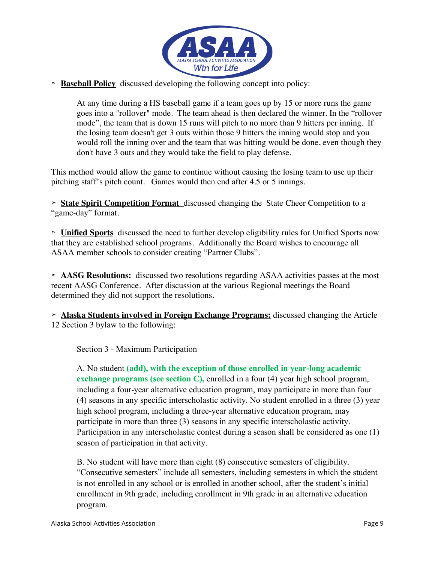

#### **➣ Baseball Policy** discussed developing the following concept into policy:

At any time during a HS baseball game if a team goes up by 15 or more runs the game goes into a "rollover" mode. The team ahead is then declared the winner. In the "rollover mode", the team that is down 15 runs will pitch to no more than 9 hitters per inning. If the losing team doesn't get 3 outs within those 9 hitters the inning would stop and you would roll the inning over and the team that was hitting would be done, even though they don't have 3 outs and they would take the field to play defense.

This method would allow the game to continue without causing the losing team to use up their pitching staff's pitch count. Games would then end after 4.5 or 5 innings.

**➣ State Spirit Competition Format** discussed changing the State Cheer Competition to a "game-day" format.

**➣ Unified Sports** discussed the need to further develop eligibility rules for Unified Sports now that they are established school programs. Additionally the Board wishes to encourage all ASAA member schools to consider creating "Partner Clubs".

**➣ AASG Resolutions:** discussed two resolutions regarding ASAA activities passes at the most recent AASG Conference. After discussion at the various Regional meetings the Board determined they did not support the resolutions.

**➣ Alaska Students involved in Foreign Exchange Programs:** discussed changing the Article 12 Section 3 bylaw to the following:

Section 3 - Maximum Participation

A. No student **(add), with the exception of those enrolled in year-long academic exchange programs (see section C), enrolled in a four (4) year high school program,** including a four-year alternative education program, may participate in more than four (4) seasons in any specific interscholastic activity. No student enrolled in a three (3) year high school program, including a three-year alternative education program, may participate in more than three (3) seasons in any specific interscholastic activity. Participation in any interscholastic contest during a season shall be considered as one (1) season of participation in that activity.

B. No student will have more than eight (8) consecutive semesters of eligibility. "Consecutive semesters" include all semesters, including semesters in which the student is not enrolled in any school or is enrolled in another school, after the student's initial enrollment in 9th grade, including enrollment in 9th grade in an alternative education program.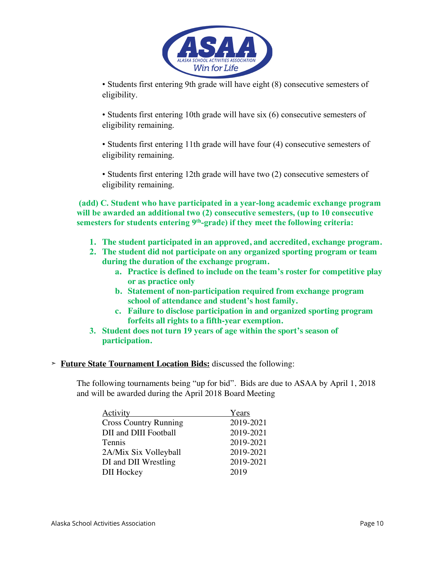

• Students first entering 9th grade will have eight (8) consecutive semesters of eligibility.

• Students first entering 10th grade will have six (6) consecutive semesters of eligibility remaining.

• Students first entering 11th grade will have four (4) consecutive semesters of eligibility remaining.

• Students first entering 12th grade will have two (2) consecutive semesters of eligibility remaining.

**(add) C. Student who have participated in a year-long academic exchange program will be awarded an additional two (2) consecutive semesters, (up to 10 consecutive semesters for students entering 9th-grade) if they meet the following criteria:**

- **1. The student participated in an approved, and accredited, exchange program.**
- **2. The student did not participate on any organized sporting program or team during the duration of the exchange program.** 
	- **a. Practice is defined to include on the team's roster for competitive play or as practice only**
	- **b. Statement of non-participation required from exchange program school of attendance and student's host family.**
	- **c. Failure to disclose participation in and organized sporting program forfeits all rights to a fifth-year exemption.**
- **3. Student does not turn 19 years of age within the sport's season of participation.**
- **➣ Future State Tournament Location Bids:** discussed the following:

The following tournaments being "up for bid". Bids are due to ASAA by April 1, 2018 and will be awarded during the April 2018 Board Meeting

| Years     |
|-----------|
| 2019-2021 |
| 2019-2021 |
| 2019-2021 |
| 2019-2021 |
| 2019-2021 |
| 2019      |
|           |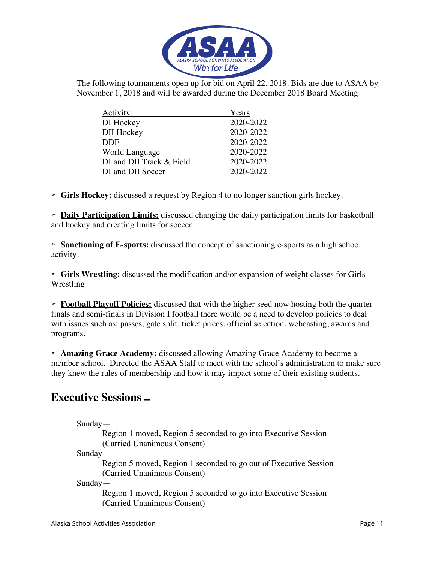

The following tournaments open up for bid on April 22, 2018. Bids are due to ASAA by November 1, 2018 and will be awarded during the December 2018 Board Meeting

| Activity                 | Years     |
|--------------------------|-----------|
| DI Hockey                | 2020-2022 |
| <b>DII</b> Hockey        | 2020-2022 |
| <b>DDF</b>               | 2020-2022 |
| World Language           | 2020-2022 |
| DI and DII Track & Field | 2020-2022 |
| DI and DII Soccer        | 2020-2022 |

**➣ Girls Hockey:** discussed a request by Region 4 to no longer sanction girls hockey.

**➣ Daily Participation Limits:** discussed changing the daily participation limits for basketball and hockey and creating limits for soccer.

**➣ Sanctioning of E-sports:** discussed the concept of sanctioning e-sports as a high school activity.

**➣ Girls Wrestling:** discussed the modification and/or expansion of weight classes for Girls Wrestling

**➣ Football Playoff Policies:** discussed that with the higher seed now hosting both the quarter finals and semi-finals in Division I football there would be a need to develop policies to deal with issues such as: passes, gate split, ticket prices, official selection, webcasting, awards and programs.

**➣ Amazing Grace Academy:** discussed allowing Amazing Grace Academy to become a member school. Directed the ASAA Staff to meet with the school's administration to make sure they knew the rules of membership and how it may impact some of their existing students.

### **Executive Sessions –**

Sunday—

Region 1 moved, Region 5 seconded to go into Executive Session (Carried Unanimous Consent)

Sunday—

Region 5 moved, Region 1 seconded to go out of Executive Session (Carried Unanimous Consent)

Sunday—

Region 1 moved, Region 5 seconded to go into Executive Session (Carried Unanimous Consent)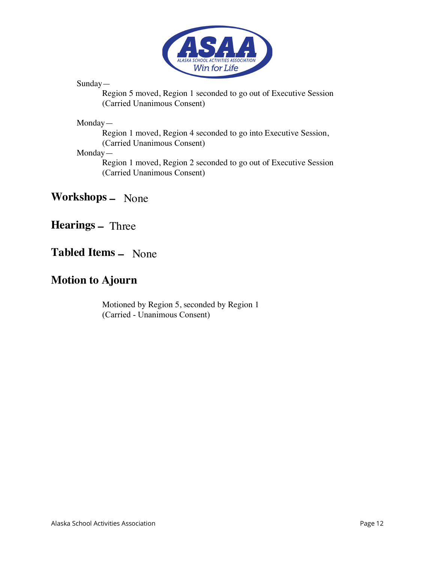

Sunday—

Region 5 moved, Region 1 seconded to go out of Executive Session (Carried Unanimous Consent)

Monday—

Region 1 moved, Region 4 seconded to go into Executive Session, (Carried Unanimous Consent)

Monday—

Region 1 moved, Region 2 seconded to go out of Executive Session (Carried Unanimous Consent)

**Workshops –** None

**Hearings –** Three

# **Tabled Items –** None

## **Motion to Ajourn**

Motioned by Region 5, seconded by Region 1 (Carried - Unanimous Consent)